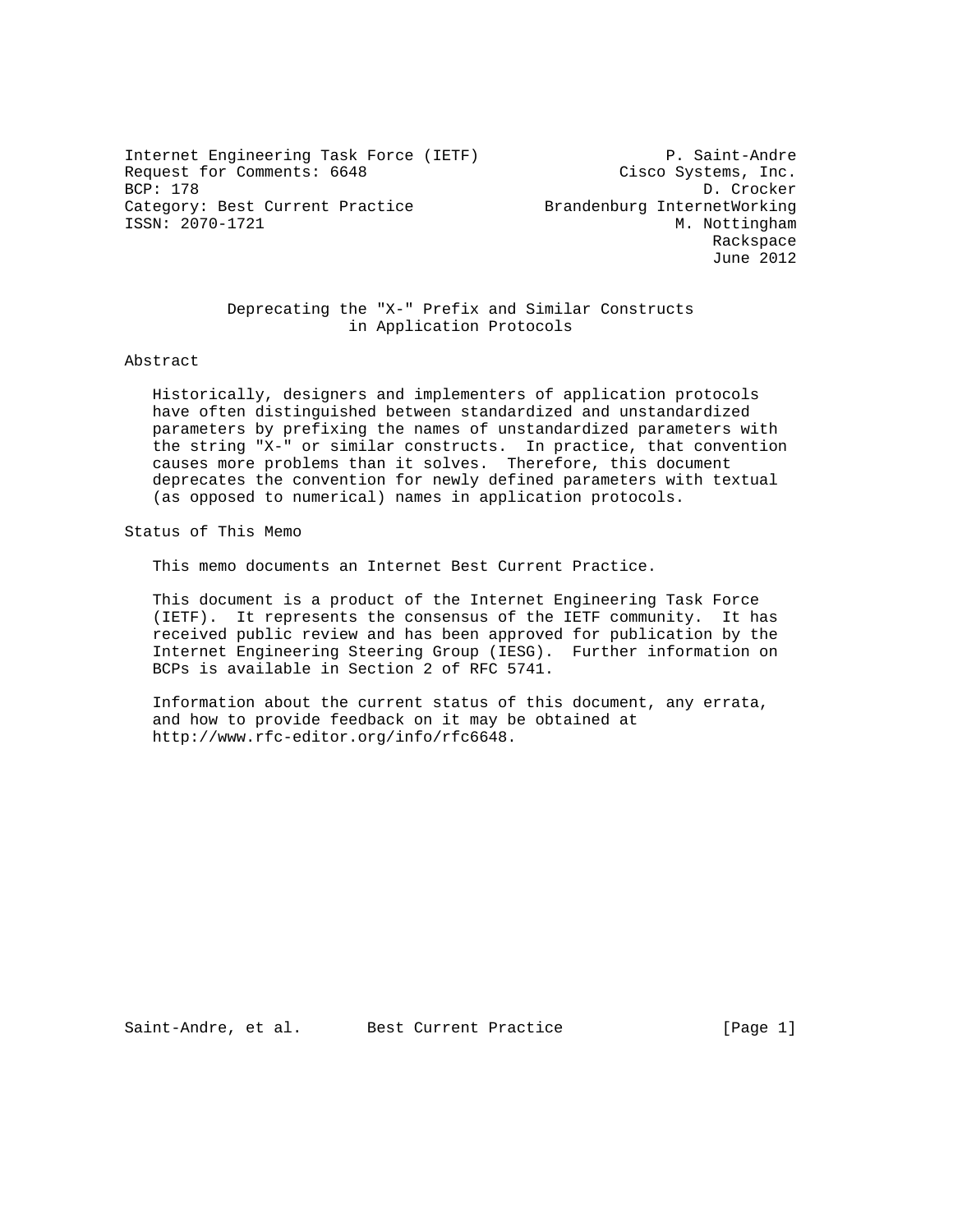Internet Engineering Task Force (IETF) P. Saint-Andre Request for Comments: 6648 Cisco Systems, Inc.<br>BCP: 178 D. Crocker BCP: 178 D. Crocker Category: Best Current Practice **Brandenburg InternetWorking** ISSN: 2070-1721 M. Nottingham

 Rackspace June 2012

 Deprecating the "X-" Prefix and Similar Constructs in Application Protocols

## Abstract

 Historically, designers and implementers of application protocols have often distinguished between standardized and unstandardized parameters by prefixing the names of unstandardized parameters with the string "X-" or similar constructs. In practice, that convention causes more problems than it solves. Therefore, this document deprecates the convention for newly defined parameters with textual (as opposed to numerical) names in application protocols.

Status of This Memo

This memo documents an Internet Best Current Practice.

 This document is a product of the Internet Engineering Task Force (IETF). It represents the consensus of the IETF community. It has received public review and has been approved for publication by the Internet Engineering Steering Group (IESG). Further information on BCPs is available in Section 2 of RFC 5741.

 Information about the current status of this document, any errata, and how to provide feedback on it may be obtained at http://www.rfc-editor.org/info/rfc6648.

Saint-Andre, et al. Best Current Practice [Page 1]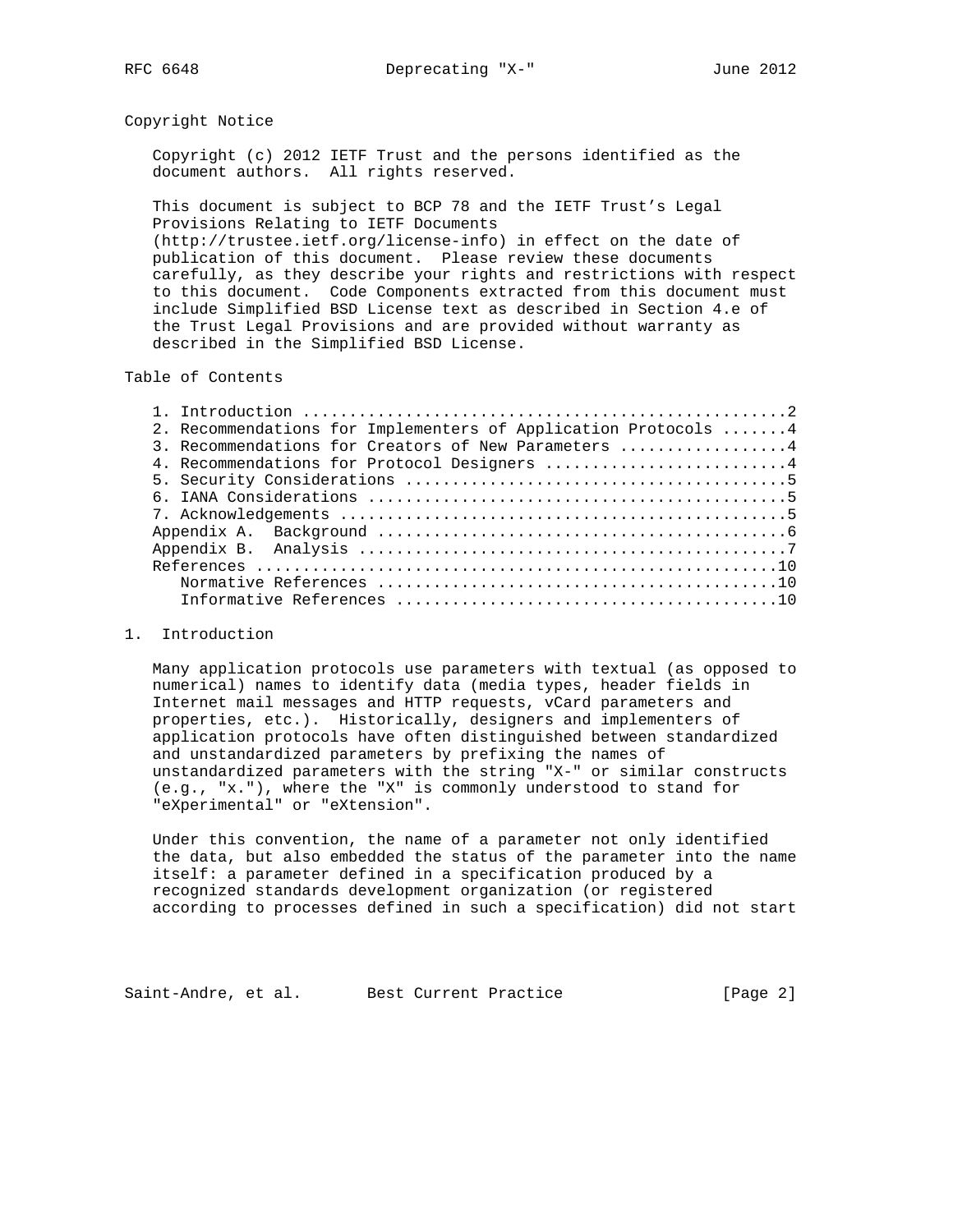## Copyright Notice

 Copyright (c) 2012 IETF Trust and the persons identified as the document authors. All rights reserved.

 This document is subject to BCP 78 and the IETF Trust's Legal Provisions Relating to IETF Documents (http://trustee.ietf.org/license-info) in effect on the date of publication of this document. Please review these documents carefully, as they describe your rights and restrictions with respect to this document. Code Components extracted from this document must include Simplified BSD License text as described in Section 4.e of the Trust Legal Provisions and are provided without warranty as described in the Simplified BSD License.

Table of Contents

| 2. Recommendations for Implementers of Application Protocols  4 |  |
|-----------------------------------------------------------------|--|
| 3. Recommendations for Creators of New Parameters 4             |  |
| 4. Recommendations for Protocol Designers 4                     |  |
|                                                                 |  |
|                                                                 |  |
|                                                                 |  |
|                                                                 |  |
|                                                                 |  |
|                                                                 |  |
|                                                                 |  |
|                                                                 |  |

## 1. Introduction

 Many application protocols use parameters with textual (as opposed to numerical) names to identify data (media types, header fields in Internet mail messages and HTTP requests, vCard parameters and properties, etc.). Historically, designers and implementers of application protocols have often distinguished between standardized and unstandardized parameters by prefixing the names of unstandardized parameters with the string "X-" or similar constructs (e.g., "x."), where the "X" is commonly understood to stand for "eXperimental" or "eXtension".

 Under this convention, the name of a parameter not only identified the data, but also embedded the status of the parameter into the name itself: a parameter defined in a specification produced by a recognized standards development organization (or registered according to processes defined in such a specification) did not start

Saint-Andre, et al. Best Current Practice [Page 2]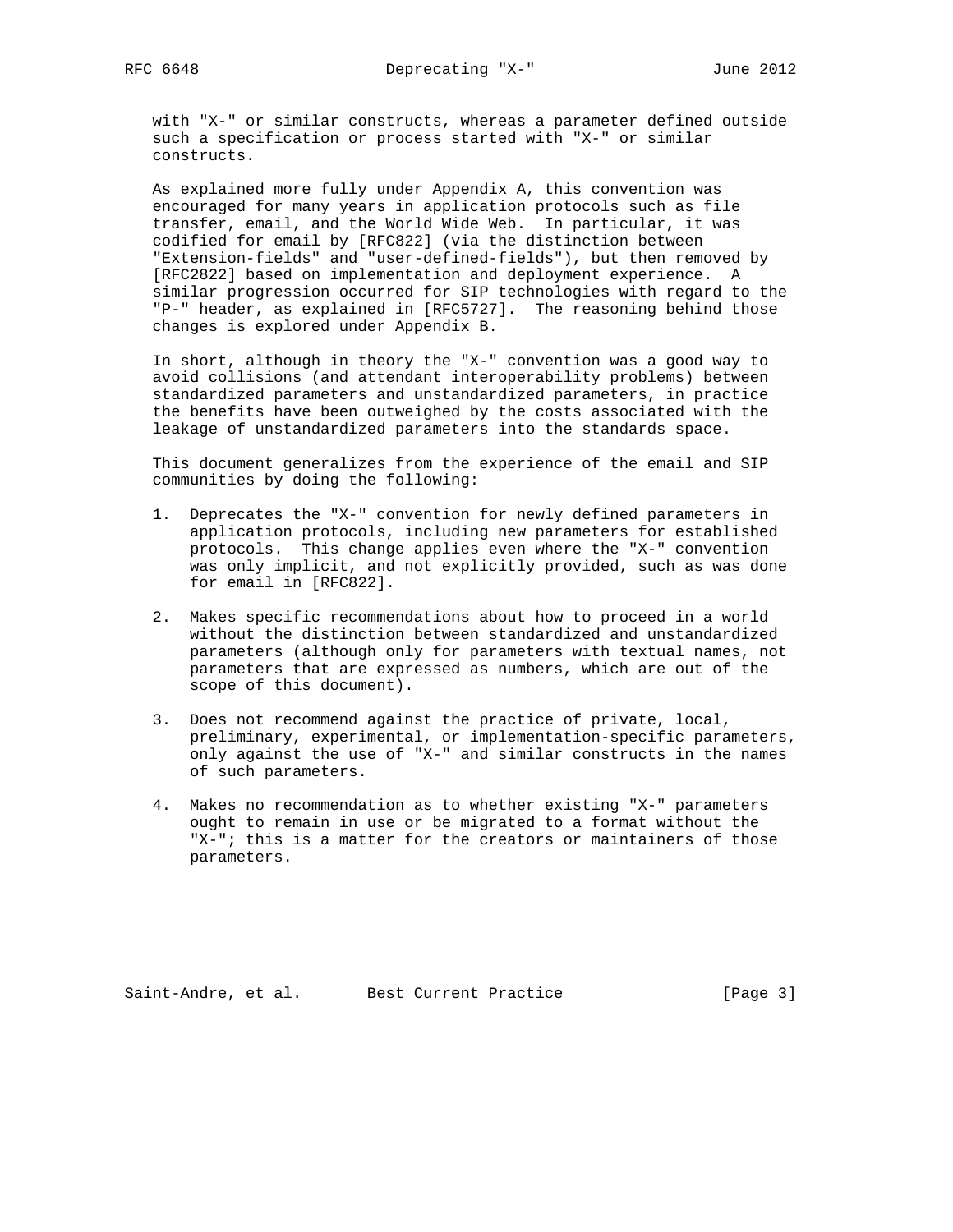with "X-" or similar constructs, whereas a parameter defined outside such a specification or process started with "X-" or similar constructs.

 As explained more fully under Appendix A, this convention was encouraged for many years in application protocols such as file transfer, email, and the World Wide Web. In particular, it was codified for email by [RFC822] (via the distinction between "Extension-fields" and "user-defined-fields"), but then removed by [RFC2822] based on implementation and deployment experience. A similar progression occurred for SIP technologies with regard to the "P-" header, as explained in [RFC5727]. The reasoning behind those changes is explored under Appendix B.

 In short, although in theory the "X-" convention was a good way to avoid collisions (and attendant interoperability problems) between standardized parameters and unstandardized parameters, in practice the benefits have been outweighed by the costs associated with the leakage of unstandardized parameters into the standards space.

 This document generalizes from the experience of the email and SIP communities by doing the following:

- 1. Deprecates the "X-" convention for newly defined parameters in application protocols, including new parameters for established protocols. This change applies even where the "X-" convention was only implicit, and not explicitly provided, such as was done for email in [RFC822].
- 2. Makes specific recommendations about how to proceed in a world without the distinction between standardized and unstandardized parameters (although only for parameters with textual names, not parameters that are expressed as numbers, which are out of the scope of this document).
- 3. Does not recommend against the practice of private, local, preliminary, experimental, or implementation-specific parameters, only against the use of "X-" and similar constructs in the names of such parameters.
- 4. Makes no recommendation as to whether existing "X-" parameters ought to remain in use or be migrated to a format without the "X-"; this is a matter for the creators or maintainers of those parameters.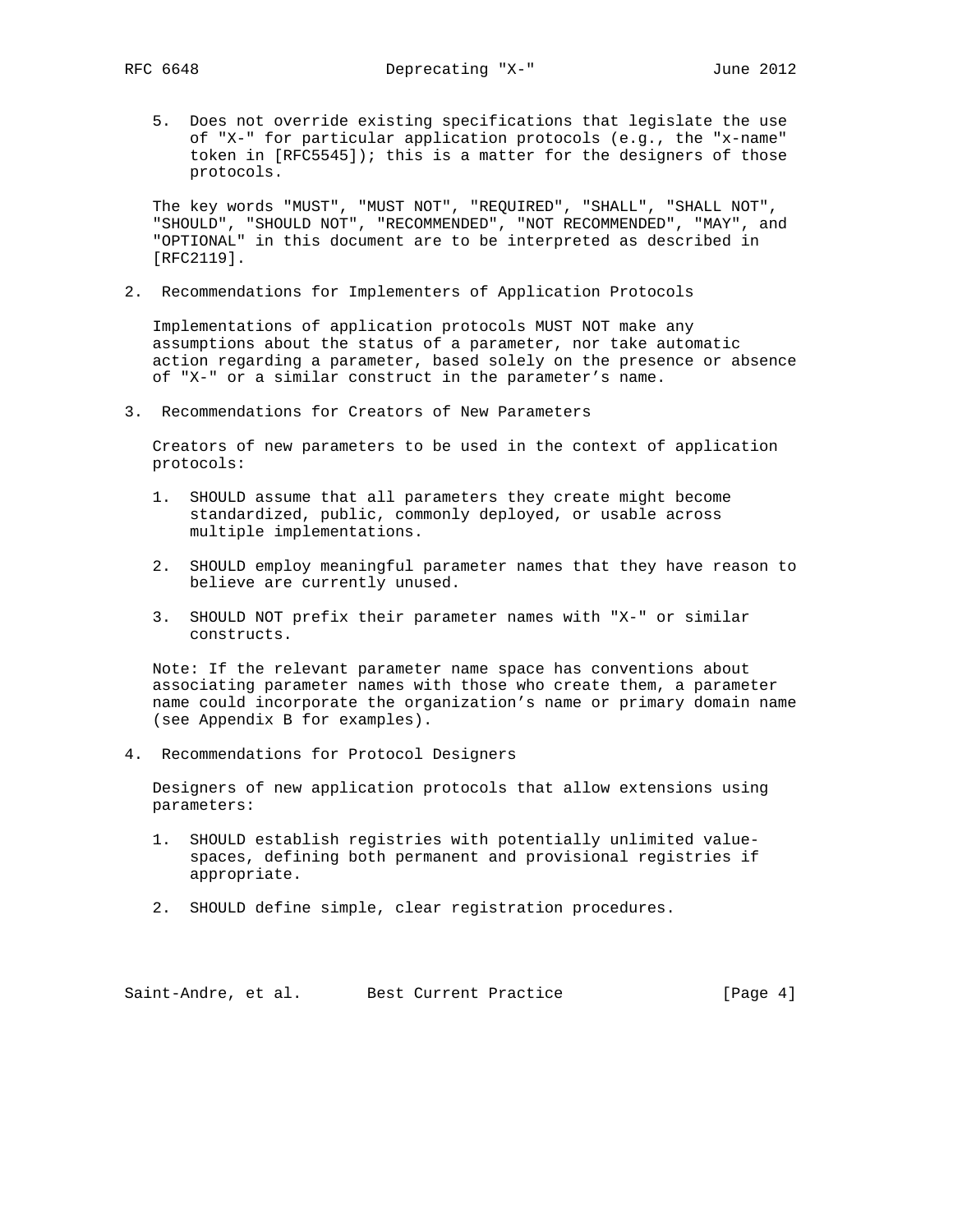5. Does not override existing specifications that legislate the use of "X-" for particular application protocols (e.g., the "x-name" token in [RFC5545]); this is a matter for the designers of those protocols.

 The key words "MUST", "MUST NOT", "REQUIRED", "SHALL", "SHALL NOT", "SHOULD", "SHOULD NOT", "RECOMMENDED", "NOT RECOMMENDED", "MAY", and "OPTIONAL" in this document are to be interpreted as described in [RFC2119].

2. Recommendations for Implementers of Application Protocols

 Implementations of application protocols MUST NOT make any assumptions about the status of a parameter, nor take automatic action regarding a parameter, based solely on the presence or absence of "X-" or a similar construct in the parameter's name.

3. Recommendations for Creators of New Parameters

 Creators of new parameters to be used in the context of application protocols:

- 1. SHOULD assume that all parameters they create might become standardized, public, commonly deployed, or usable across multiple implementations.
- 2. SHOULD employ meaningful parameter names that they have reason to believe are currently unused.
- 3. SHOULD NOT prefix their parameter names with "X-" or similar constructs.

 Note: If the relevant parameter name space has conventions about associating parameter names with those who create them, a parameter name could incorporate the organization's name or primary domain name (see Appendix B for examples).

4. Recommendations for Protocol Designers

 Designers of new application protocols that allow extensions using parameters:

- 1. SHOULD establish registries with potentially unlimited value spaces, defining both permanent and provisional registries if appropriate.
- 2. SHOULD define simple, clear registration procedures.

Saint-Andre, et al. Best Current Practice [Page 4]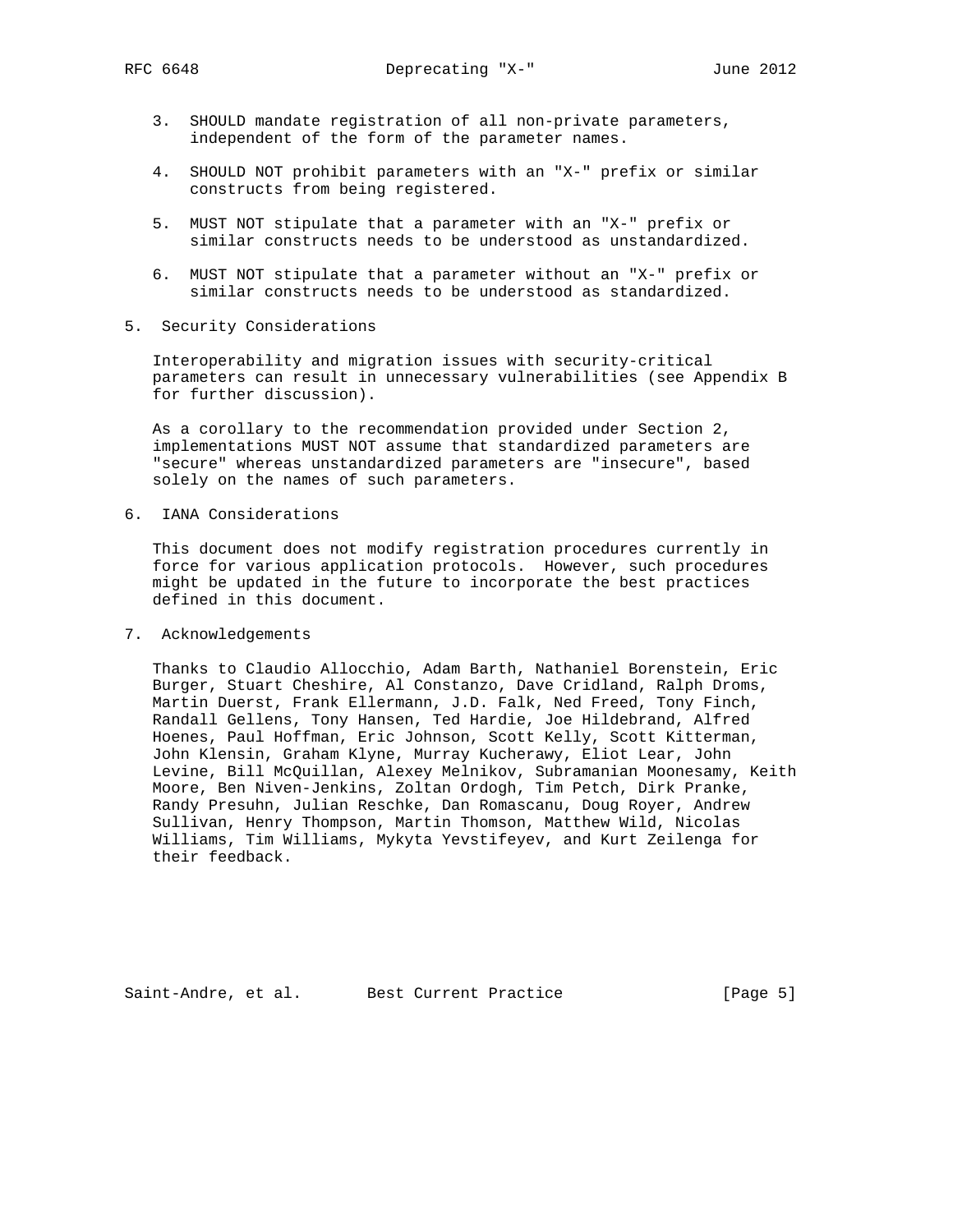- 3. SHOULD mandate registration of all non-private parameters, independent of the form of the parameter names.
- 4. SHOULD NOT prohibit parameters with an "X-" prefix or similar constructs from being registered.
- 5. MUST NOT stipulate that a parameter with an "X-" prefix or similar constructs needs to be understood as unstandardized.
- 6. MUST NOT stipulate that a parameter without an "X-" prefix or similar constructs needs to be understood as standardized.
- 5. Security Considerations

 Interoperability and migration issues with security-critical parameters can result in unnecessary vulnerabilities (see Appendix B for further discussion).

 As a corollary to the recommendation provided under Section 2, implementations MUST NOT assume that standardized parameters are "secure" whereas unstandardized parameters are "insecure", based solely on the names of such parameters.

6. IANA Considerations

 This document does not modify registration procedures currently in force for various application protocols. However, such procedures might be updated in the future to incorporate the best practices defined in this document.

7. Acknowledgements

 Thanks to Claudio Allocchio, Adam Barth, Nathaniel Borenstein, Eric Burger, Stuart Cheshire, Al Constanzo, Dave Cridland, Ralph Droms, Martin Duerst, Frank Ellermann, J.D. Falk, Ned Freed, Tony Finch, Randall Gellens, Tony Hansen, Ted Hardie, Joe Hildebrand, Alfred Hoenes, Paul Hoffman, Eric Johnson, Scott Kelly, Scott Kitterman, John Klensin, Graham Klyne, Murray Kucherawy, Eliot Lear, John Levine, Bill McQuillan, Alexey Melnikov, Subramanian Moonesamy, Keith Moore, Ben Niven-Jenkins, Zoltan Ordogh, Tim Petch, Dirk Pranke, Randy Presuhn, Julian Reschke, Dan Romascanu, Doug Royer, Andrew Sullivan, Henry Thompson, Martin Thomson, Matthew Wild, Nicolas Williams, Tim Williams, Mykyta Yevstifeyev, and Kurt Zeilenga for their feedback.

Saint-Andre, et al. Best Current Practice [Page 5]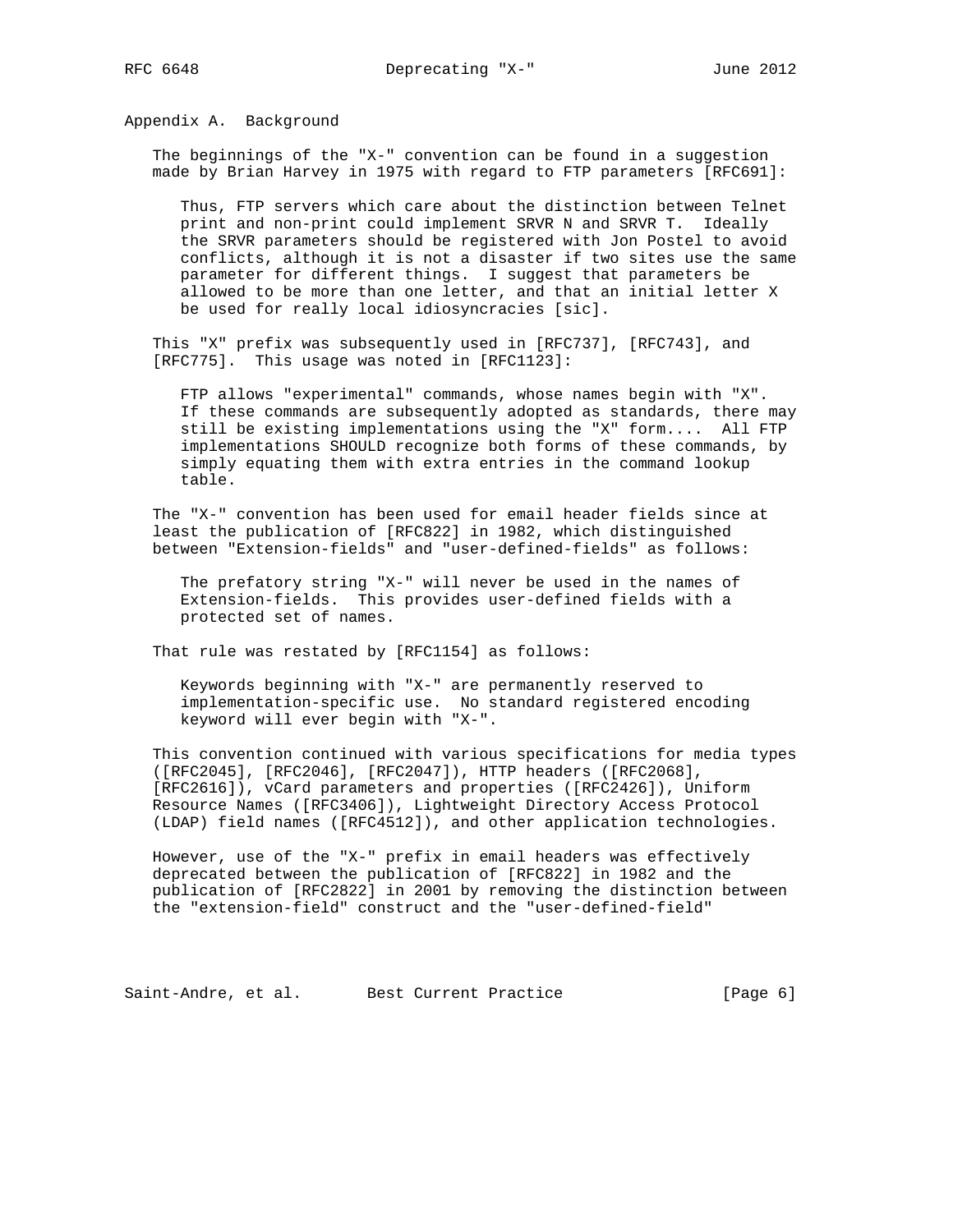Appendix A. Background

 The beginnings of the "X-" convention can be found in a suggestion made by Brian Harvey in 1975 with regard to FTP parameters [RFC691]:

 Thus, FTP servers which care about the distinction between Telnet print and non-print could implement SRVR N and SRVR T. Ideally the SRVR parameters should be registered with Jon Postel to avoid conflicts, although it is not a disaster if two sites use the same parameter for different things. I suggest that parameters be allowed to be more than one letter, and that an initial letter X be used for really local idiosyncracies [sic].

 This "X" prefix was subsequently used in [RFC737], [RFC743], and [RFC775]. This usage was noted in [RFC1123]:

 FTP allows "experimental" commands, whose names begin with "X". If these commands are subsequently adopted as standards, there may still be existing implementations using the "X" form.... All FTP implementations SHOULD recognize both forms of these commands, by simply equating them with extra entries in the command lookup table.

 The "X-" convention has been used for email header fields since at least the publication of [RFC822] in 1982, which distinguished between "Extension-fields" and "user-defined-fields" as follows:

 The prefatory string "X-" will never be used in the names of Extension-fields. This provides user-defined fields with a protected set of names.

That rule was restated by [RFC1154] as follows:

 Keywords beginning with "X-" are permanently reserved to implementation-specific use. No standard registered encoding keyword will ever begin with "X-".

 This convention continued with various specifications for media types ([RFC2045], [RFC2046], [RFC2047]), HTTP headers ([RFC2068], [RFC2616]), vCard parameters and properties ([RFC2426]), Uniform Resource Names ([RFC3406]), Lightweight Directory Access Protocol (LDAP) field names ([RFC4512]), and other application technologies.

 However, use of the "X-" prefix in email headers was effectively deprecated between the publication of [RFC822] in 1982 and the publication of [RFC2822] in 2001 by removing the distinction between the "extension-field" construct and the "user-defined-field"

Saint-Andre, et al. Best Current Practice [Page 6]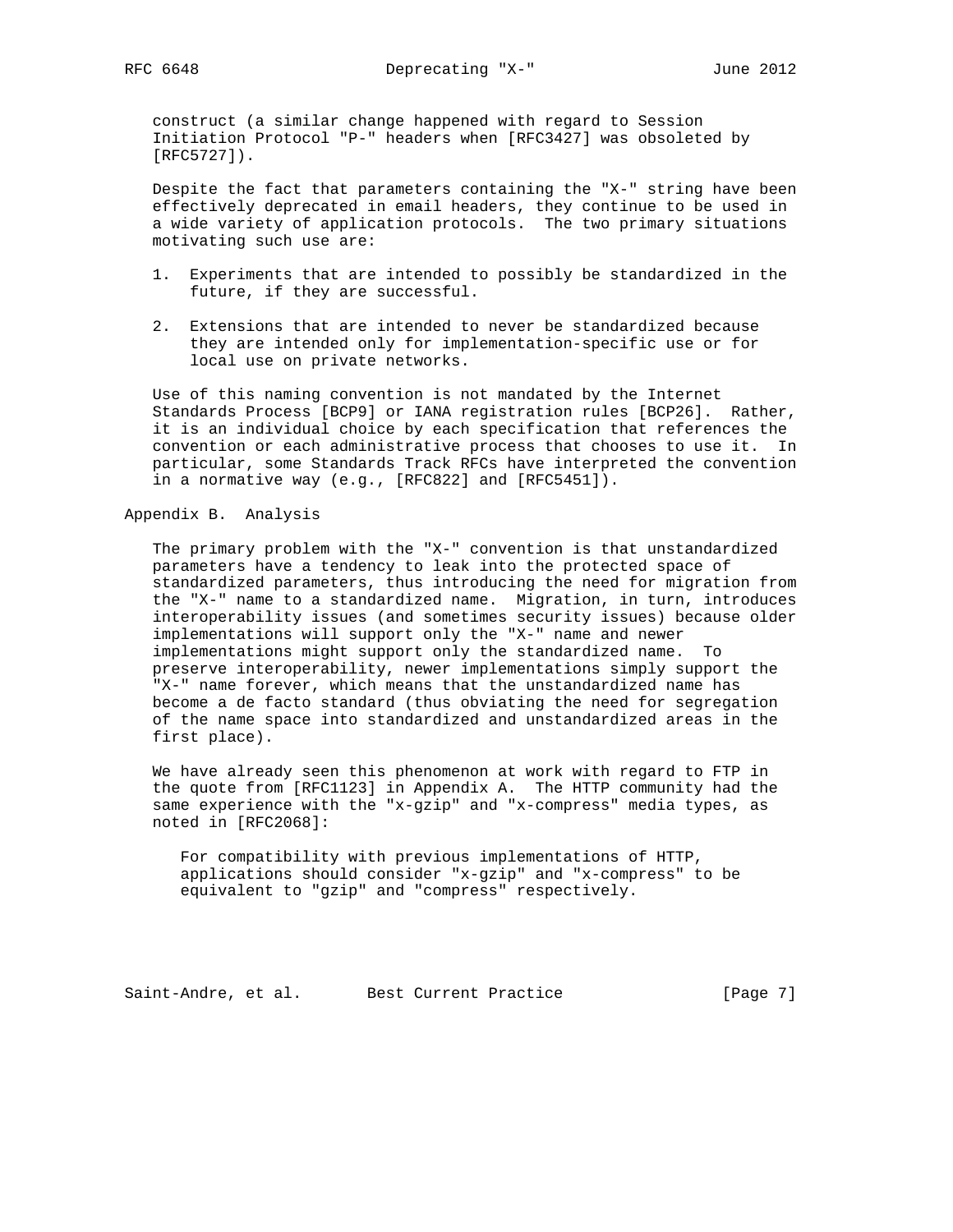construct (a similar change happened with regard to Session Initiation Protocol "P-" headers when [RFC3427] was obsoleted by [RFC5727]).

 Despite the fact that parameters containing the "X-" string have been effectively deprecated in email headers, they continue to be used in a wide variety of application protocols. The two primary situations motivating such use are:

- 1. Experiments that are intended to possibly be standardized in the future, if they are successful.
- 2. Extensions that are intended to never be standardized because they are intended only for implementation-specific use or for local use on private networks.

 Use of this naming convention is not mandated by the Internet Standards Process [BCP9] or IANA registration rules [BCP26]. Rather, it is an individual choice by each specification that references the convention or each administrative process that chooses to use it. In particular, some Standards Track RFCs have interpreted the convention in a normative way (e.g., [RFC822] and [RFC5451]).

Appendix B. Analysis

 The primary problem with the "X-" convention is that unstandardized parameters have a tendency to leak into the protected space of standardized parameters, thus introducing the need for migration from the "X-" name to a standardized name. Migration, in turn, introduces interoperability issues (and sometimes security issues) because older implementations will support only the "X-" name and newer implementations might support only the standardized name. To preserve interoperability, newer implementations simply support the "X-" name forever, which means that the unstandardized name has become a de facto standard (thus obviating the need for segregation of the name space into standardized and unstandardized areas in the first place).

 We have already seen this phenomenon at work with regard to FTP in the quote from [RFC1123] in Appendix A. The HTTP community had the same experience with the "x-gzip" and "x-compress" media types, as noted in [RFC2068]:

 For compatibility with previous implementations of HTTP, applications should consider "x-gzip" and "x-compress" to be equivalent to "gzip" and "compress" respectively.

Saint-Andre, et al. Best Current Practice [Page 7]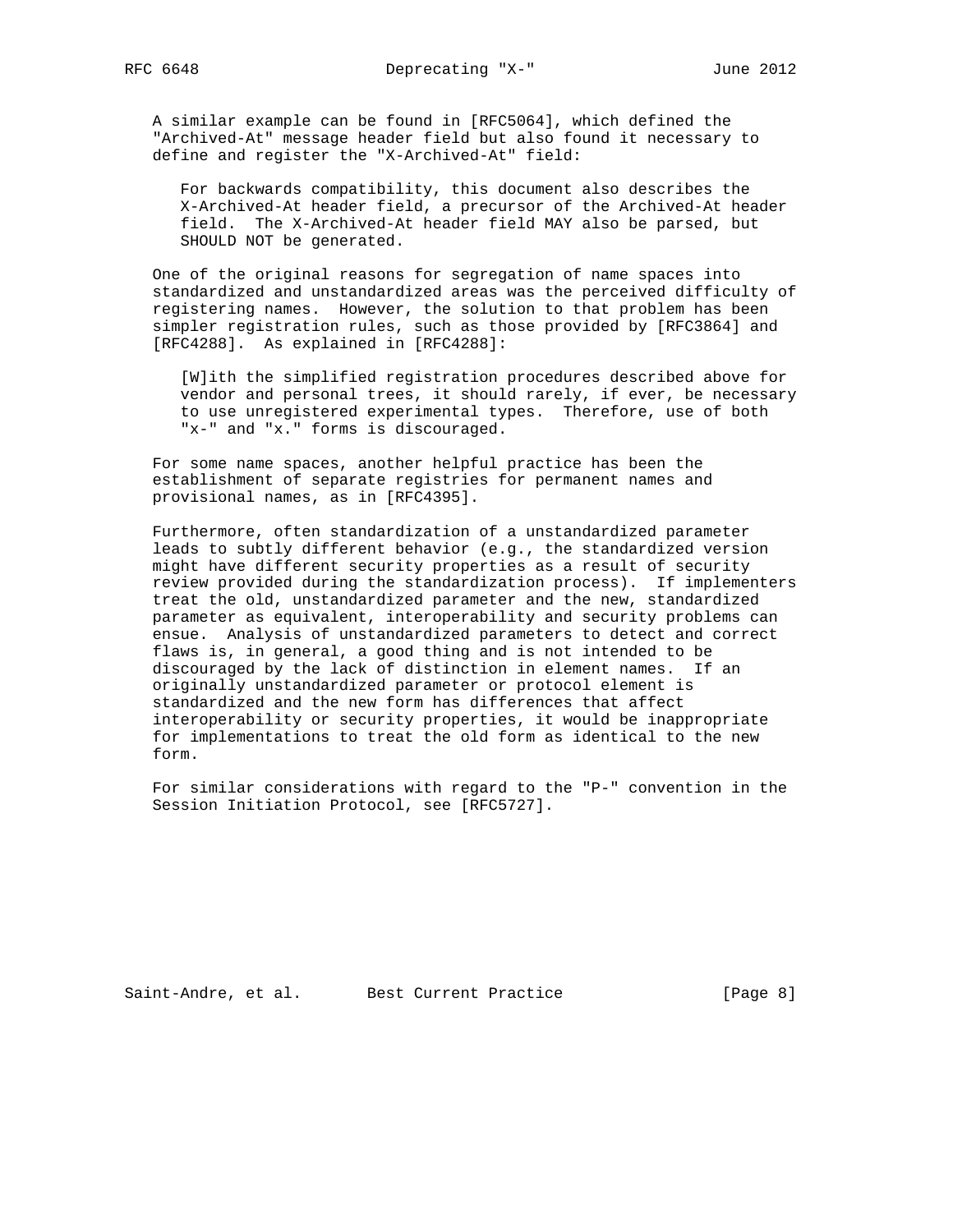A similar example can be found in [RFC5064], which defined the "Archived-At" message header field but also found it necessary to define and register the "X-Archived-At" field:

 For backwards compatibility, this document also describes the X-Archived-At header field, a precursor of the Archived-At header field. The X-Archived-At header field MAY also be parsed, but SHOULD NOT be generated.

 One of the original reasons for segregation of name spaces into standardized and unstandardized areas was the perceived difficulty of registering names. However, the solution to that problem has been simpler registration rules, such as those provided by [RFC3864] and [RFC4288]. As explained in [RFC4288]:

 [W]ith the simplified registration procedures described above for vendor and personal trees, it should rarely, if ever, be necessary to use unregistered experimental types. Therefore, use of both "x-" and "x." forms is discouraged.

 For some name spaces, another helpful practice has been the establishment of separate registries for permanent names and provisional names, as in [RFC4395].

 Furthermore, often standardization of a unstandardized parameter leads to subtly different behavior (e.g., the standardized version might have different security properties as a result of security review provided during the standardization process). If implementers treat the old, unstandardized parameter and the new, standardized parameter as equivalent, interoperability and security problems can ensue. Analysis of unstandardized parameters to detect and correct flaws is, in general, a good thing and is not intended to be discouraged by the lack of distinction in element names. If an originally unstandardized parameter or protocol element is standardized and the new form has differences that affect interoperability or security properties, it would be inappropriate for implementations to treat the old form as identical to the new form.

 For similar considerations with regard to the "P-" convention in the Session Initiation Protocol, see [RFC5727].

Saint-Andre, et al. Best Current Practice [Page 8]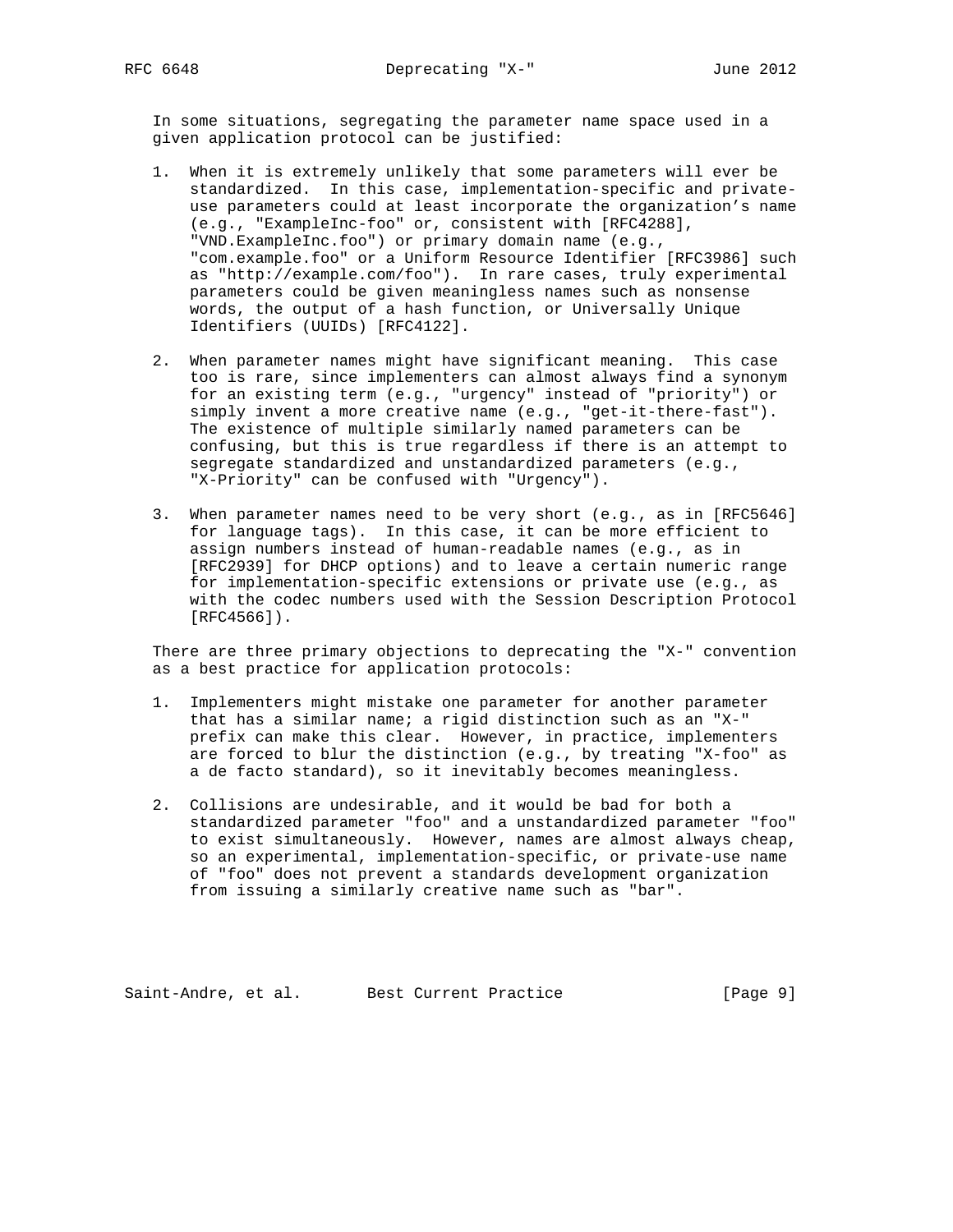In some situations, segregating the parameter name space used in a given application protocol can be justified:

- 1. When it is extremely unlikely that some parameters will ever be standardized. In this case, implementation-specific and private use parameters could at least incorporate the organization's name (e.g., "ExampleInc-foo" or, consistent with [RFC4288], "VND.ExampleInc.foo") or primary domain name (e.g., "com.example.foo" or a Uniform Resource Identifier [RFC3986] such as "http://example.com/foo"). In rare cases, truly experimental parameters could be given meaningless names such as nonsense words, the output of a hash function, or Universally Unique Identifiers (UUIDs) [RFC4122].
- 2. When parameter names might have significant meaning. This case too is rare, since implementers can almost always find a synonym for an existing term (e.g., "urgency" instead of "priority") or simply invent a more creative name (e.g., "get-it-there-fast"). The existence of multiple similarly named parameters can be confusing, but this is true regardless if there is an attempt to segregate standardized and unstandardized parameters (e.g., "X-Priority" can be confused with "Urgency").
- 3. When parameter names need to be very short (e.g., as in [RFC5646] for language tags). In this case, it can be more efficient to assign numbers instead of human-readable names (e.g., as in [RFC2939] for DHCP options) and to leave a certain numeric range for implementation-specific extensions or private use (e.g., as with the codec numbers used with the Session Description Protocol [RFC4566]).

 There are three primary objections to deprecating the "X-" convention as a best practice for application protocols:

- 1. Implementers might mistake one parameter for another parameter that has a similar name; a rigid distinction such as an "X-" prefix can make this clear. However, in practice, implementers are forced to blur the distinction (e.g., by treating "X-foo" as a de facto standard), so it inevitably becomes meaningless.
- 2. Collisions are undesirable, and it would be bad for both a standardized parameter "foo" and a unstandardized parameter "foo" to exist simultaneously. However, names are almost always cheap, so an experimental, implementation-specific, or private-use name of "foo" does not prevent a standards development organization from issuing a similarly creative name such as "bar".

Saint-Andre, et al. Best Current Practice [Page 9]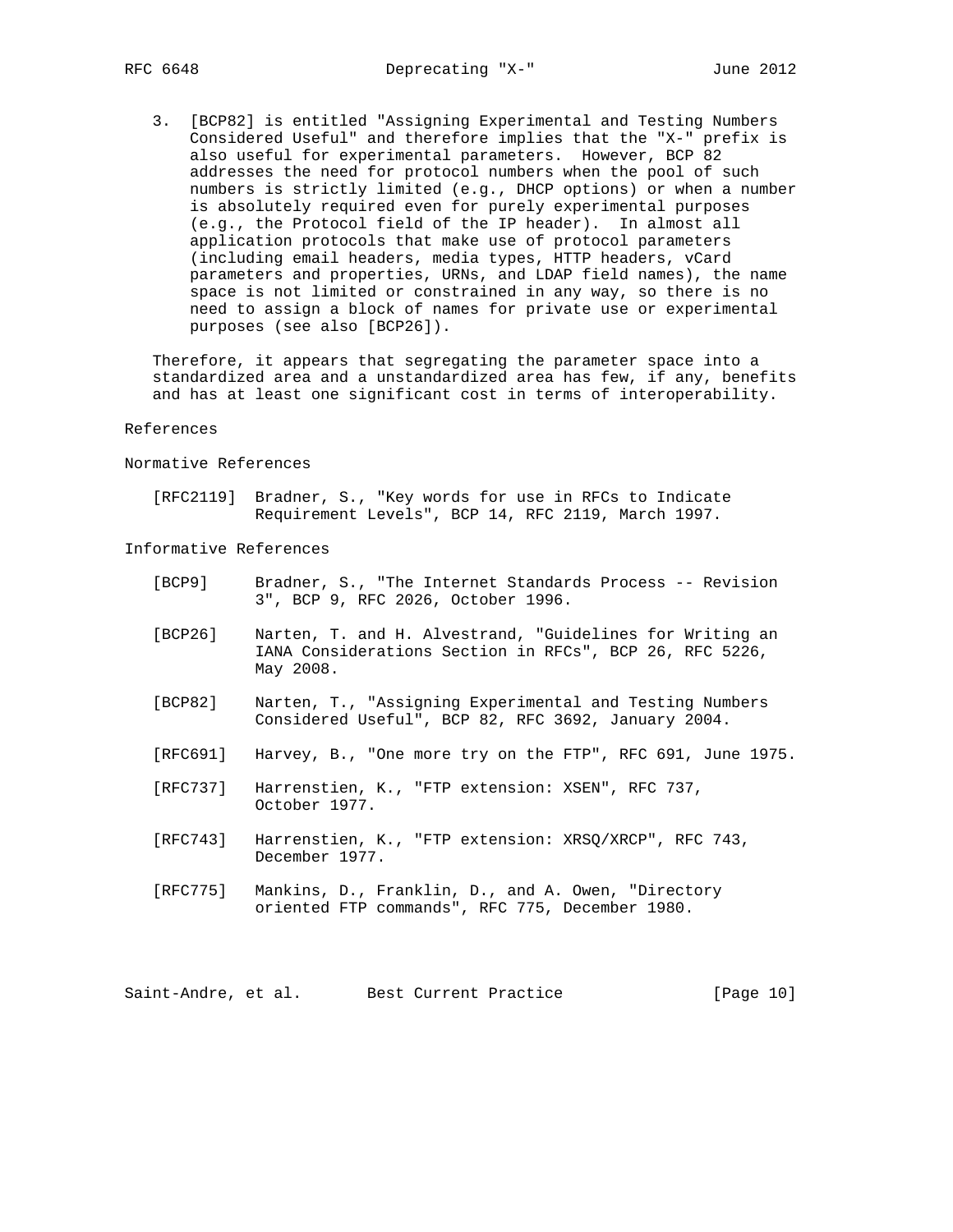3. [BCP82] is entitled "Assigning Experimental and Testing Numbers Considered Useful" and therefore implies that the "X-" prefix is also useful for experimental parameters. However, BCP 82 addresses the need for protocol numbers when the pool of such numbers is strictly limited (e.g., DHCP options) or when a number is absolutely required even for purely experimental purposes (e.g., the Protocol field of the IP header). In almost all application protocols that make use of protocol parameters (including email headers, media types, HTTP headers, vCard parameters and properties, URNs, and LDAP field names), the name space is not limited or constrained in any way, so there is no need to assign a block of names for private use or experimental purposes (see also [BCP26]).

 Therefore, it appears that segregating the parameter space into a standardized area and a unstandardized area has few, if any, benefits and has at least one significant cost in terms of interoperability.

## References

Normative References

 [RFC2119] Bradner, S., "Key words for use in RFCs to Indicate Requirement Levels", BCP 14, RFC 2119, March 1997.

Informative References

- [BCP9] Bradner, S., "The Internet Standards Process -- Revision 3", BCP 9, RFC 2026, October 1996.
- [BCP26] Narten, T. and H. Alvestrand, "Guidelines for Writing an IANA Considerations Section in RFCs", BCP 26, RFC 5226, May 2008.
- [BCP82] Narten, T., "Assigning Experimental and Testing Numbers Considered Useful", BCP 82, RFC 3692, January 2004.
- [RFC691] Harvey, B., "One more try on the FTP", RFC 691, June 1975.
- [RFC737] Harrenstien, K., "FTP extension: XSEN", RFC 737, October 1977.
- [RFC743] Harrenstien, K., "FTP extension: XRSQ/XRCP", RFC 743, December 1977.
- [RFC775] Mankins, D., Franklin, D., and A. Owen, "Directory oriented FTP commands", RFC 775, December 1980.

Saint-Andre, et al. Best Current Practice [Page 10]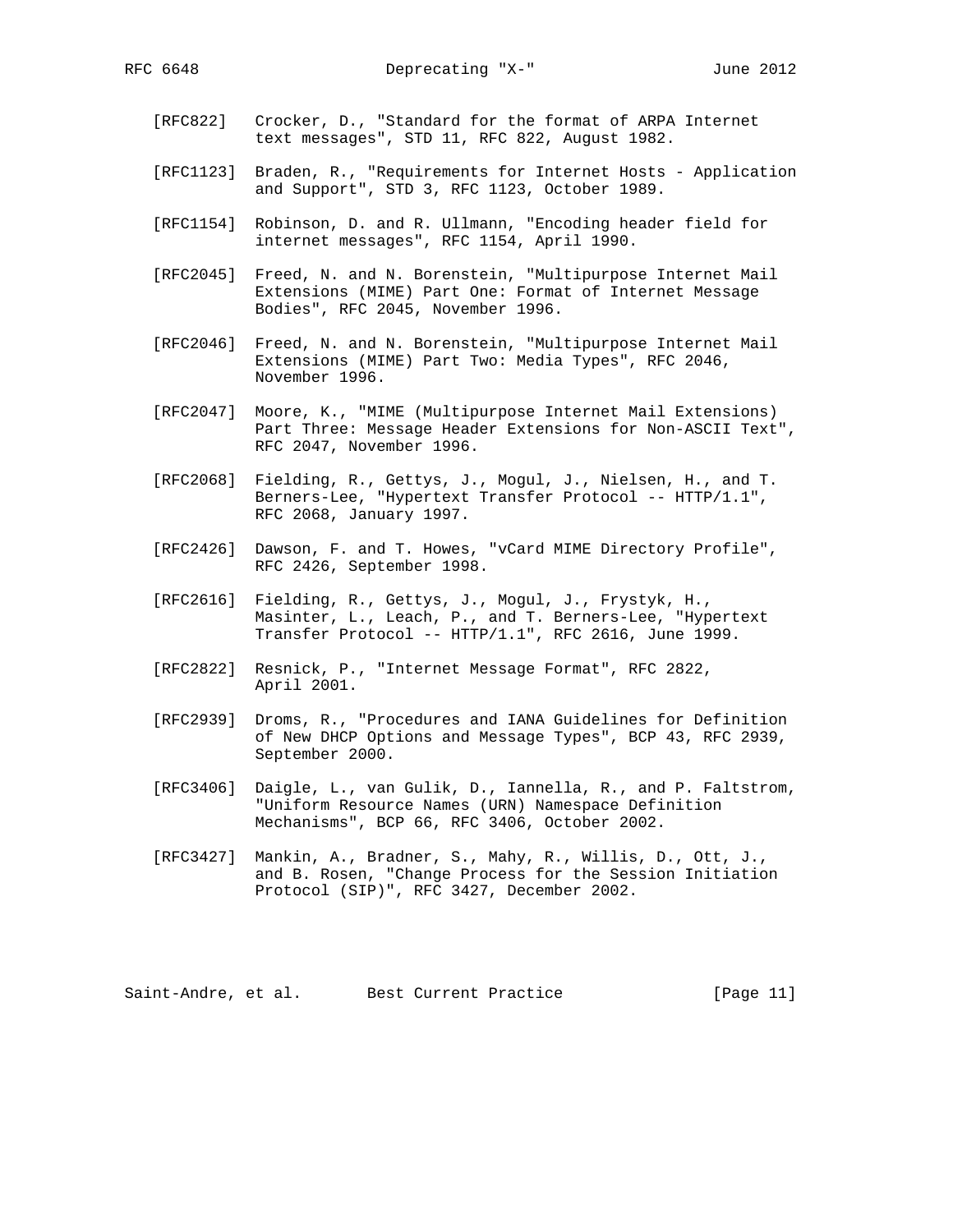- [RFC822] Crocker, D., "Standard for the format of ARPA Internet text messages", STD 11, RFC 822, August 1982.
- [RFC1123] Braden, R., "Requirements for Internet Hosts Application and Support", STD 3, RFC 1123, October 1989.
- [RFC1154] Robinson, D. and R. Ullmann, "Encoding header field for internet messages", RFC 1154, April 1990.
- [RFC2045] Freed, N. and N. Borenstein, "Multipurpose Internet Mail Extensions (MIME) Part One: Format of Internet Message Bodies", RFC 2045, November 1996.
- [RFC2046] Freed, N. and N. Borenstein, "Multipurpose Internet Mail Extensions (MIME) Part Two: Media Types", RFC 2046, November 1996.
- [RFC2047] Moore, K., "MIME (Multipurpose Internet Mail Extensions) Part Three: Message Header Extensions for Non-ASCII Text", RFC 2047, November 1996.
- [RFC2068] Fielding, R., Gettys, J., Mogul, J., Nielsen, H., and T. Berners-Lee, "Hypertext Transfer Protocol -- HTTP/1.1", RFC 2068, January 1997.
- [RFC2426] Dawson, F. and T. Howes, "vCard MIME Directory Profile", RFC 2426, September 1998.
- [RFC2616] Fielding, R., Gettys, J., Mogul, J., Frystyk, H., Masinter, L., Leach, P., and T. Berners-Lee, "Hypertext Transfer Protocol -- HTTP/1.1", RFC 2616, June 1999.
- [RFC2822] Resnick, P., "Internet Message Format", RFC 2822, April 2001.
- [RFC2939] Droms, R., "Procedures and IANA Guidelines for Definition of New DHCP Options and Message Types", BCP 43, RFC 2939, September 2000.
- [RFC3406] Daigle, L., van Gulik, D., Iannella, R., and P. Faltstrom, "Uniform Resource Names (URN) Namespace Definition Mechanisms", BCP 66, RFC 3406, October 2002.
- [RFC3427] Mankin, A., Bradner, S., Mahy, R., Willis, D., Ott, J., and B. Rosen, "Change Process for the Session Initiation Protocol (SIP)", RFC 3427, December 2002.

Saint-Andre, et al. Best Current Practice [Page 11]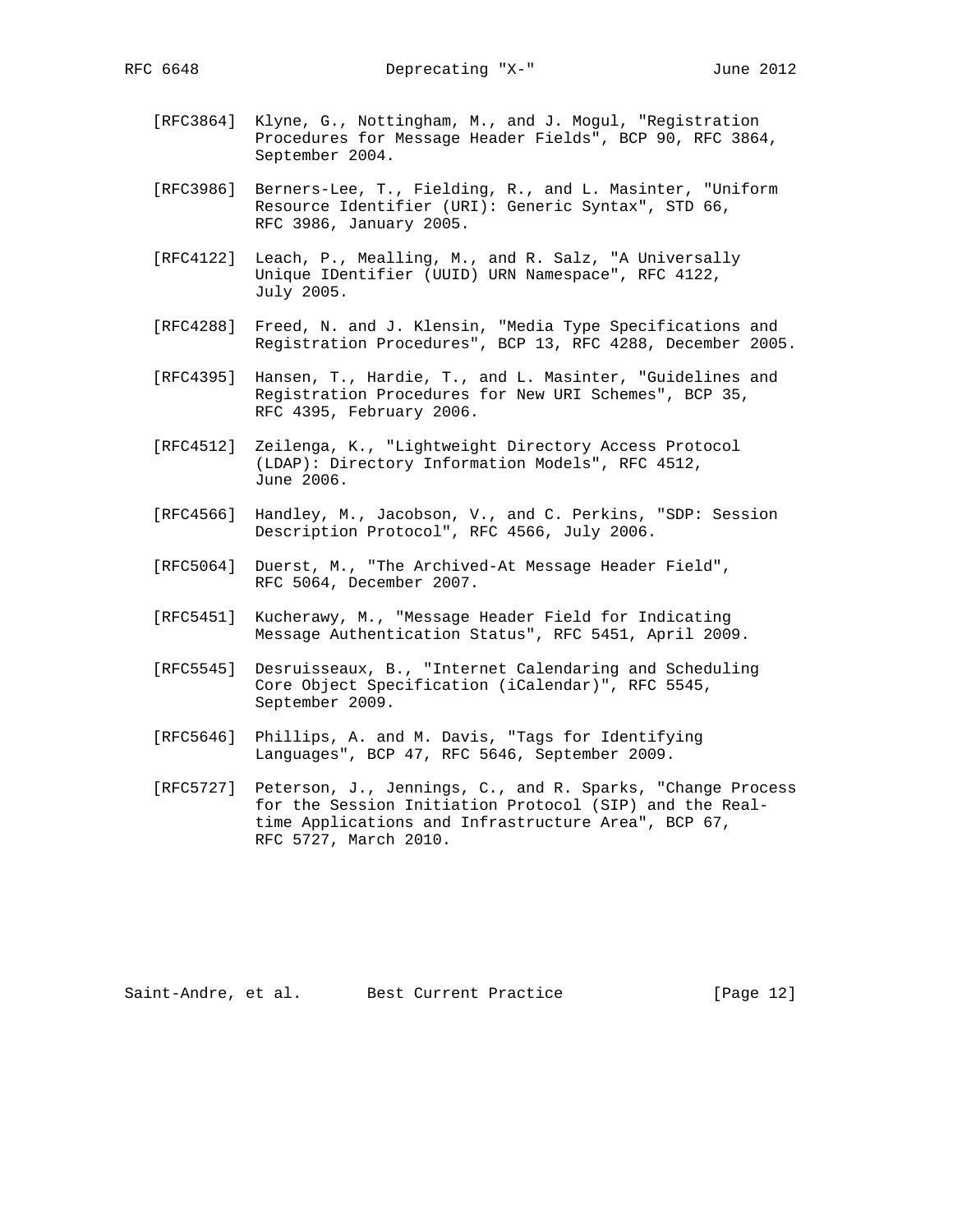- [RFC3864] Klyne, G., Nottingham, M., and J. Mogul, "Registration Procedures for Message Header Fields", BCP 90, RFC 3864, September 2004.
- [RFC3986] Berners-Lee, T., Fielding, R., and L. Masinter, "Uniform Resource Identifier (URI): Generic Syntax", STD 66, RFC 3986, January 2005.
- [RFC4122] Leach, P., Mealling, M., and R. Salz, "A Universally Unique IDentifier (UUID) URN Namespace", RFC 4122, July 2005.
- [RFC4288] Freed, N. and J. Klensin, "Media Type Specifications and Registration Procedures", BCP 13, RFC 4288, December 2005.
- [RFC4395] Hansen, T., Hardie, T., and L. Masinter, "Guidelines and Registration Procedures for New URI Schemes", BCP 35, RFC 4395, February 2006.
- [RFC4512] Zeilenga, K., "Lightweight Directory Access Protocol (LDAP): Directory Information Models", RFC 4512, June 2006.
- [RFC4566] Handley, M., Jacobson, V., and C. Perkins, "SDP: Session Description Protocol", RFC 4566, July 2006.
- [RFC5064] Duerst, M., "The Archived-At Message Header Field", RFC 5064, December 2007.
- [RFC5451] Kucherawy, M., "Message Header Field for Indicating Message Authentication Status", RFC 5451, April 2009.
- [RFC5545] Desruisseaux, B., "Internet Calendaring and Scheduling Core Object Specification (iCalendar)", RFC 5545, September 2009.
- [RFC5646] Phillips, A. and M. Davis, "Tags for Identifying Languages", BCP 47, RFC 5646, September 2009.
- [RFC5727] Peterson, J., Jennings, C., and R. Sparks, "Change Process for the Session Initiation Protocol (SIP) and the Real time Applications and Infrastructure Area", BCP 67, RFC 5727, March 2010.

Saint-Andre, et al. Best Current Practice [Page 12]